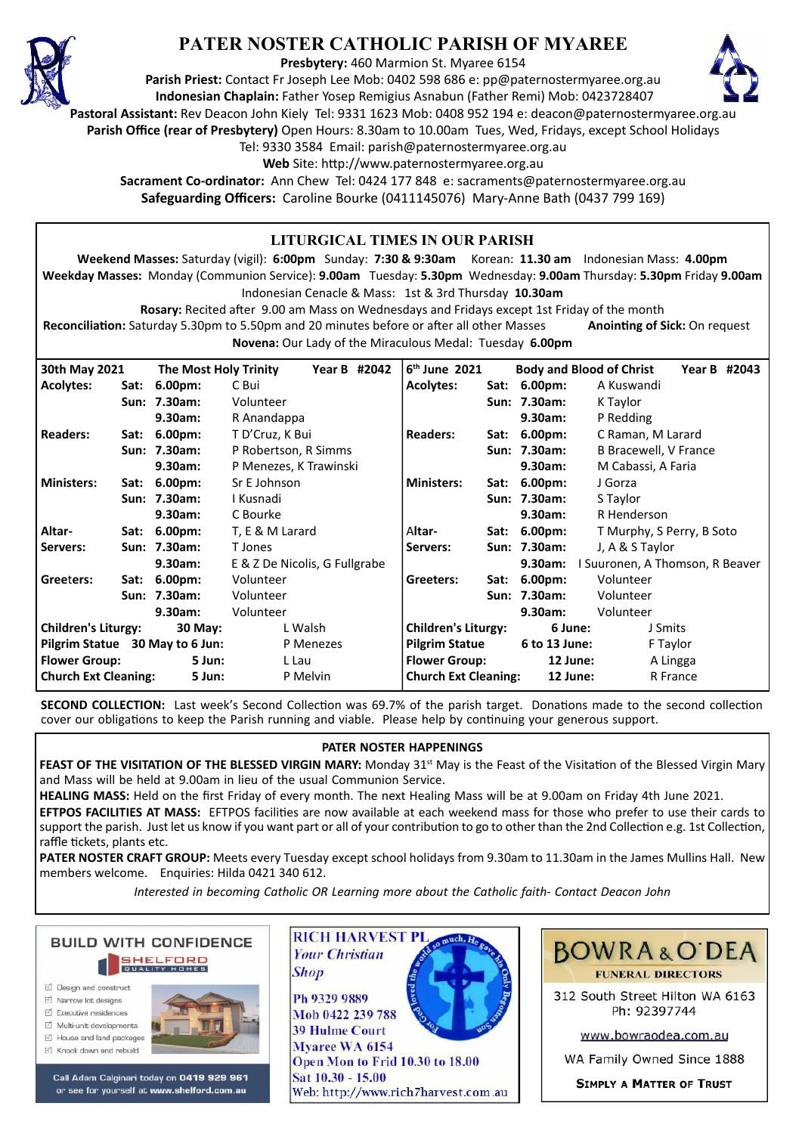

# **PATER NOSTER CATHOLIC PARISH OF MYAREE**

**Presbytery:** 460 Marmion St. Myaree 6154

**Parish Priest:** Contact Fr Joseph Lee Mob: 0402 598 686 e: pp@paternostermyaree.org.au **Indonesian Chaplain:** Father Yosep Remigius Asnabun (Father Remi) Mob: 0423728407



**Pastoral Assistant:** Rev Deacon John Kiely Tel: 9331 1623 Mob: 0408 952 194 e: deacon@paternostermyaree.org.au

**Parish Office (rear of Presbytery)** Open Hours: 8.30am to 10.00am Tues, Wed, Fridays, except School Holidays

Tel: 9330 3584 Email: parish@paternostermyaree.org.au

Web Site: http://www.paternostermyaree.org.au

**Sacrament Co-ordinator:** Ann Chew Tel: 0424 177 848 e: sacraments@paternostermyaree.org.au **Safeguarding Officers:** Caroline Bourke (0411145076) Mary-Anne Bath (0437 799 169)

#### **LITURGICAL TIMES IN OUR PARISH Weekend Masses:** Saturday (vigil): **6:00pm** Sunday: **7:30 & 9:30am** Korean: **11.30 am** Indonesian Mass: **4.00pm Weekday Masses:** Monday (Communion Service): **9.00am** Tuesday: **5.30pm** Wednesday: **9.00am** Thursday: **5.30pm** Friday **9.00am** Indonesian Cenacle & Mass: 1st & 3rd Thursday **10.30am Rosary:** Recited a�er 9.00 am Mass on Wednesdays and Fridays except 1st Friday of the month **Reconciliation:** Saturday 5.30pm to 5.50pm and 20 minutes before or after all other Masses **Anointing of Sick:** On request **Novena:** Our Lady of the Miraculous Medal: Tuesday **6.00pm** 6<sup>th</sup> June 2021 **th June 2021 Body and Blood of Christ Year B #2043 Acolytes: Sat: 6.00pm:** A Kuswandi **Sun: 7.30am:** K Taylor **9.30am:** P Redding **Readers: Sat: 6.00pm:** C Raman, M Larard **Sun: 7.30am:** B Bracewell, V France **9.30am:** M Cabassi, A Faria **Ministers: Sat: 6.00pm:** J Gorza **Sun: 7.30am:** S Taylor **9.30am:** R Henderson A**ltar- Sat: 6.00pm:** T Murphy, S Perry, B Soto **Servers: Sun: 7.30am:** J, A & S Taylor **9.30am:** I Suuronen, A Thomson, R Beaver **Greeters: Sat: 6.00pm:** Volunteer **Sun: 7.30am:** Volunteer **9.30am:** Volunteer **Children's Liturgy: 6 June:** J Smits **Pilgrim Statue 6 to 13 June:** F Taylor **Flower Group: 12 June:** A Lingga **Church Ext Cleaning: 12 June:** R France **30th May 2021 The Most Holy Trinity Year B #2042 Acolytes: Sat: 6.00pm:** C Bui **Sun: 7.30am:** Volunteer **9.30am:** R Anandappa **Readers: Sat: 6.00pm:** T D'Cruz, K Bui **Sun: 7.30am:** P Robertson, R Simms **9.30am:** P Menezes, K Trawinski **Ministers: Sat: 6.00pm:** Sr E Johnson **Sun: 7.30am:** I Kusnadi **9.30am:** C Bourke **Altar- Sat: 6.00pm:** T, E & M Larard **Servers: Sun: 7.30am:** T Jones **9.30am:** E & Z De Nicolis, G Fullgrabe **Gree**t**ers: Sat: 6.00pm:** Volunteer **Sun: 7.30am:** Volunteer **9.30am:** Volunteer **Children's Liturgy: 30 May:** L Walsh **Pilgrim Statue 30 May to 6 Jun:** P Menezes **Flower Group: 5 Jun:** L Lau **Church Ext Cleaning: 5 Jun:** P Melvin

**SECOND COLLECTION:** Last week's Second Collection was 69.7% of the parish target. Donations made to the second collection cover our obligations to keep the Parish running and viable. Please help by continuing your generous support.

## **PATER NOSTER HAPPENINGS**

FEAST OF THE VISITATION OF THE BLESSED VIRGIN MARY: Monday 31<sup>st</sup> May is the Feast of the Visitation of the Blessed Virgin Mary and Mass will be held at 9.00am in lieu of the usual Communion Service.

**HEALING MASS:** Held on the first Friday of every month. The next Healing Mass will be at 9.00am on Friday 4th June 2021.

**EFTPOS FACILITIES AT MASS:** EFTPOS facili�es are now available at each weekend mass for those who prefer to use their cards to support the parish. Just let us know if you want part or all of your contribution to go to other than the 2nd Collection e.g. 1st Collection, raffle tickets, plants etc.

**PATER NOSTER CRAFT GROUP:** Meets every Tuesday except school holidays from 9.30am to 11.30am in the James Mullins Hall. New members welcome. Enquiries: Hilda 0421 340 612.

*Interested in becoming Catholic OR Learning more about the Catholic faith- Contact Deacon John*



- M House and land packages
- ☑ Knock down and rebuild



Call Adam Calginari today on 0419 929 961 or see for yourself at www.shelford.com.au



Ph 9329 9889 Mob 0422 239 788 **39 Hulme Court** Myaree WA 6154 Open Mon to Frid 10.30 to 18.00 Sat 10.30 - 15.00 Web: http://www.rich7harvest.com.au



312 South Street Hilton WA 6163 Ph: 92397744

www.bowraodea.com.au

WA Family Owned Since 1888

**SIMPLY A MATTER OF TRUST**